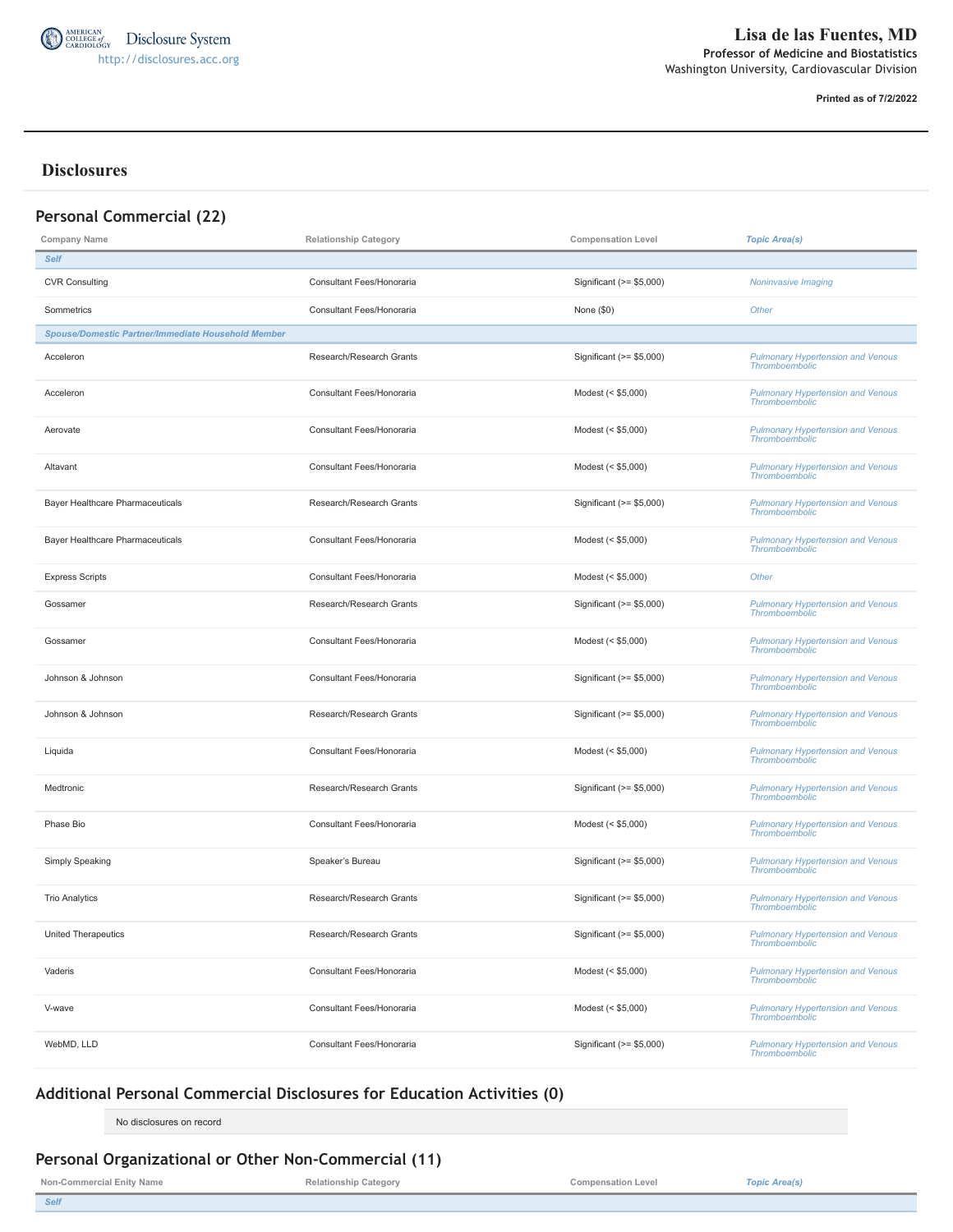

**Printed as of 7/2/2022**

# **Disclosures**

| <b>Personal Commercial (22)</b>                           |                              |                           |                                                                   |
|-----------------------------------------------------------|------------------------------|---------------------------|-------------------------------------------------------------------|
| <b>Company Name</b>                                       | <b>Relationship Category</b> | <b>Compensation Level</b> | <b>Topic Area(s)</b>                                              |
| <b>Self</b>                                               |                              |                           |                                                                   |
| <b>CVR Consulting</b>                                     | Consultant Fees/Honoraria    | Significant (>= \$5,000)  | <b>Noninvasive Imaging</b>                                        |
| Sommetrics                                                | Consultant Fees/Honoraria    | None $(\$0)$              | Other                                                             |
| <b>Spouse/Domestic Partner/Immediate Household Member</b> |                              |                           |                                                                   |
| Acceleron                                                 | Research/Research Grants     | Significant (>= \$5,000)  | <b>Pulmonary Hypertension and Venous</b><br><b>Thromboembolic</b> |
| Acceleron                                                 | Consultant Fees/Honoraria    | Modest (< \$5,000)        | <b>Pulmonary Hypertension and Venous</b><br><b>Thromboembolic</b> |
| Aerovate                                                  | Consultant Fees/Honoraria    | Modest (< \$5,000)        | <b>Pulmonary Hypertension and Venous</b><br><b>Thromboembolic</b> |
| Altavant                                                  | Consultant Fees/Honoraria    | Modest (< \$5,000)        | <b>Pulmonary Hypertension and Venous</b><br><b>Thromboembolic</b> |
| Bayer Healthcare Pharmaceuticals                          | Research/Research Grants     | Significant (>= \$5,000)  | <b>Pulmonary Hypertension and Venous</b><br><b>Thromboembolic</b> |
| Bayer Healthcare Pharmaceuticals                          | Consultant Fees/Honoraria    | Modest (< \$5,000)        | <b>Pulmonary Hypertension and Venous</b><br><b>Thromboembolic</b> |
| <b>Express Scripts</b>                                    | Consultant Fees/Honoraria    | Modest (< \$5,000)        | Other                                                             |
| Gossamer                                                  | Research/Research Grants     | Significant (>= \$5,000)  | <b>Pulmonary Hypertension and Venous</b><br><b>Thromboembolic</b> |
| Gossamer                                                  | Consultant Fees/Honoraria    | Modest (< \$5,000)        | <b>Pulmonary Hypertension and Venous</b><br><b>Thromboembolic</b> |
| Johnson & Johnson                                         | Consultant Fees/Honoraria    | Significant $(>= $5,000)$ | <b>Pulmonary Hypertension and Venous</b><br><b>Thromboembolic</b> |
| Johnson & Johnson                                         | Research/Research Grants     | Significant (>= \$5,000)  | <b>Pulmonary Hypertension and Venous</b><br><b>Thromboembolic</b> |
| Liquida                                                   | Consultant Fees/Honoraria    | Modest (< \$5,000)        | <b>Pulmonary Hypertension and Venous</b><br><b>Thromboembolic</b> |
| Medtronic                                                 | Research/Research Grants     | Significant (>= \$5,000)  | <b>Pulmonary Hypertension and Venous</b><br><b>Thromboembolic</b> |
| Phase Bio                                                 | Consultant Fees/Honoraria    | Modest (< \$5,000)        | <b>Pulmonary Hypertension and Venous</b><br><b>Thromboembolic</b> |
| Simply Speaking                                           | Speaker's Bureau             | Significant (>= \$5,000)  | <b>Pulmonary Hypertension and Venous</b><br><b>Thromboembolic</b> |
| <b>Trio Analytics</b>                                     | Research/Research Grants     | Significant (>= \$5,000)  | <b>Pulmonary Hypertension and Venous</b><br><b>Thromboembolic</b> |
| <b>United Therapeutics</b>                                | Research/Research Grants     | Significant $(>= $5,000)$ | <b>Pulmonary Hypertension and Venous</b><br><b>Thromboembolic</b> |
| Vaderis                                                   | Consultant Fees/Honoraria    | Modest (< \$5,000)        | <b>Pulmonary Hypertension and Venous</b><br><b>Thromboembolic</b> |
| V-wave                                                    | Consultant Fees/Honoraria    | Modest (< \$5,000)        | <b>Pulmonary Hypertension and Venous</b><br><b>Thromboembolic</b> |
| WebMD, LLD                                                | Consultant Fees/Honoraria    | Significant (>= \$5,000)  | <b>Pulmonary Hypertension and Venous</b><br><b>Thromboembolic</b> |

# **Additional Personal Commercial Disclosures for Education Activities (0)**

No disclosures on record

# **Personal Organizational or Other Non-Commercial (11)**

**Non-Commercial Enity Name Relationship Category Compensation Level** *Topic Area(s)*

*Self*